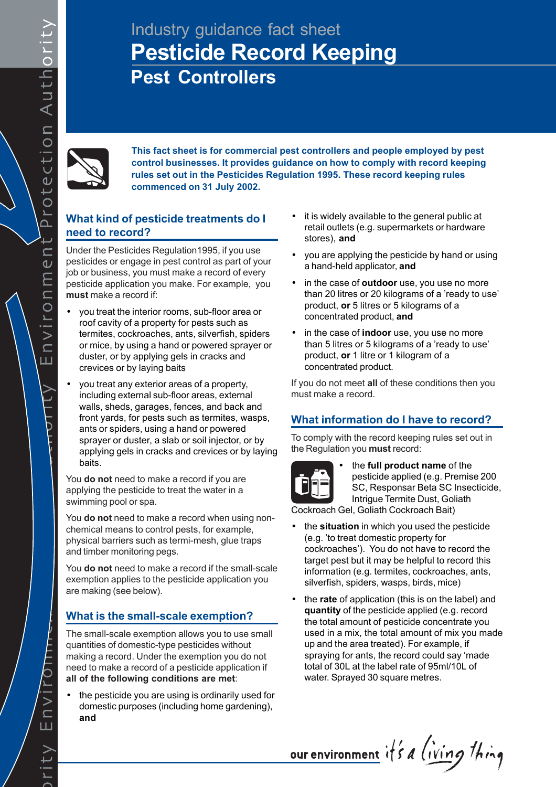# Industry guidance fact sheet **Pesticide Record Keeping Pest Controllers**



**This fact sheet is for commercial pest controllers and people employed by pest control businesses. It provides guidance on how to comply with record keeping rules set out in the Pesticides Regulation 1995. These record keeping rules commenced on 31 July 2002.**

# **What kind of pesticide treatments do I need to record?**

Under the Pesticides Regulation1995, if you use pesticides or engage in pest control as part of your job or business, you must make a record of every pesticide application you make. For example, you **must** make a record if:

- you treat the interior rooms, sub-floor area or roof cavity of a property for pests such as termites, cockroaches, ants, silverfish, spiders or mice, by using a hand or powered sprayer or duster, or by applying gels in cracks and crevices or by laying baits
- you treat any exterior areas of a property, including external sub-floor areas, external walls, sheds, garages, fences, and back and front yards, for pests such as termites, wasps, ants or spiders, using a hand or powered sprayer or duster, a slab or soil injector, or by applying gels in cracks and crevices or by laying baits.

You **do not** need to make a record if you are applying the pesticide to treat the water in a swimming pool or spa.

You **do not** need to make a record when using nonchemical means to control pests, for example, physical barriers such as termi-mesh, glue traps and timber monitoring pegs.

You **do not** need to make a record if the small-scale exemption applies to the pesticide application you are making (see below).

# **What is the small-scale exemption?**

The small-scale exemption allows you to use small quantities of domestic-type pesticides without making a record. Under the exemption you do not need to make a record of a pesticide application if **all of the following conditions are met**:

the pesticide you are using is ordinarily used for domestic purposes (including home gardening), **and**

- it is widely available to the general public at retail outlets (e.g. supermarkets or hardware stores), **and**
- you are applying the pesticide by hand or using a hand-held applicator, **and**
- in the case of **outdoor** use, you use no more than 20 litres or 20 kilograms of a 'ready to use' product, **or** 5 litres or 5 kilograms of a concentrated product, **and**
- in the case of **indoor** use, you use no more than 5 litres or 5 kilograms of a 'ready to use' product, **or** 1 litre or 1 kilogram of a concentrated product.

If you do not meet **all** of these conditions then you must make a record.

# **What information do I have to record?**

To comply with the record keeping rules set out in the Regulation you **must** record:



• the **full product name** of the pesticide applied (e.g. Premise 200 SC, Responsar Beta SC Insecticide, Intrigue Termite Dust, Goliath

Cockroach Gel, Goliath Cockroach Bait)

- the **situation** in which you used the pesticide (e.g. 'to treat domestic property for cockroaches'). You do not have to record the target pest but it may be helpful to record this information (e.g. termites, cockroaches, ants, silverfish, spiders, wasps, birds, mice)
- the **rate** of application (this is on the label) and **quantity** of the pesticide applied (e.g. record the total amount of pesticide concentrate you used in a mix, the total amount of mix you made up and the area treated). For example, if spraying for ants, the record could say 'made total of 30L at the label rate of 95ml/10L of water. Sprayed 30 square metres.

our environment it's a living thing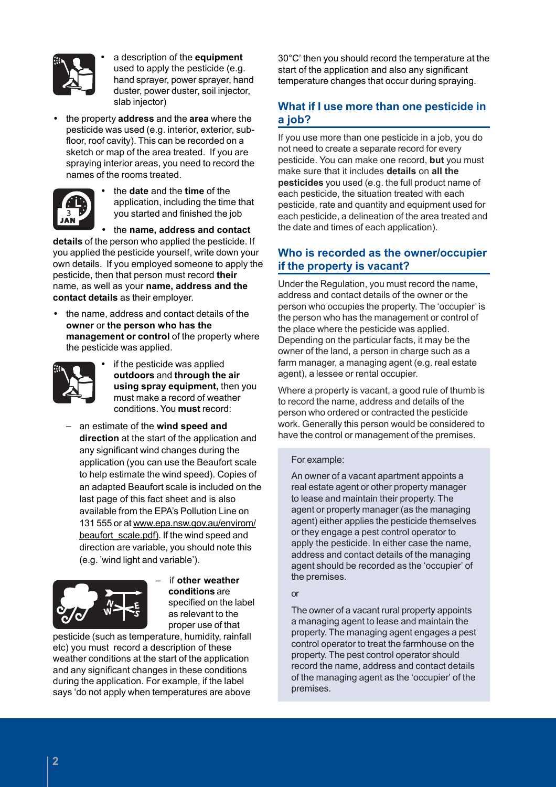

• a description of the **equipment** used to apply the pesticide (e.g. hand sprayer, power sprayer, hand duster, power duster, soil injector, slab injector)

• the property **address** and the **area** where the pesticide was used (e.g. interior, exterior, subfloor, roof cavity). This can be recorded on a sketch or map of the area treated. If you are spraying interior areas, you need to record the names of the rooms treated.



• the **date** and the **time** of the application, including the time that you started and finished the job

• the **name, address and contact**

**details** of the person who applied the pesticide. If you applied the pesticide yourself, write down your own details. If you employed someone to apply the pesticide, then that person must record **their** name, as well as your **name, address and the contact details** as their employer.

• the name, address and contact details of the **owner** or **the person who has the management or control** of the property where the pesticide was applied.



if the pesticide was applied **outdoors** and **through the air using spray equipment,** then you must make a record of weather conditions. You **must** record:

– an estimate of the **wind speed and direction** at the start of the application and any significant wind changes during the application (you can use the Beaufort scale to help estimate the wind speed). Copies of an adapted Beaufort scale is included on the last page of this fact sheet and is also available from the EPA's Pollution Line on 131 555 or at www.epa.nsw.gov.au/envirom/ beaufort\_scale.pdf). If the wind speed and direction are variable, you should note this (e.g. 'wind light and variable').



– if **other weather conditions** are specified on the label as relevant to the proper use of that

pesticide (such as temperature, humidity, rainfall etc) you must record a description of these weather conditions at the start of the application and any significant changes in these conditions during the application. For example, if the label says 'do not apply when temperatures are above

30°C' then you should record the temperature at the start of the application and also any significant temperature changes that occur during spraying.

## **What if I use more than one pesticide in a job?**

If you use more than one pesticide in a job, you do not need to create a separate record for every pesticide. You can make one record, **but** you must make sure that it includes **details** on **all the pesticides** you used (e.g. the full product name of each pesticide, the situation treated with each pesticide, rate and quantity and equipment used for each pesticide, a delineation of the area treated and the date and times of each application).

## **Who is recorded as the owner/occupier if the property is vacant?**

Under the Regulation, you must record the name, address and contact details of the owner or the person who occupies the property. The 'occupier' is the person who has the management or control of the place where the pesticide was applied. Depending on the particular facts, it may be the owner of the land, a person in charge such as a farm manager, a managing agent (e.g. real estate agent), a lessee or rental occupier.

Where a property is vacant, a good rule of thumb is to record the name, address and details of the person who ordered or contracted the pesticide work. Generally this person would be considered to have the control or management of the premises.

#### For example:

An owner of a vacant apartment appoints a real estate agent or other property manager to lease and maintain their property. The agent or property manager (as the managing agent) either applies the pesticide themselves or they engage a pest control operator to apply the pesticide. In either case the name, address and contact details of the managing agent should be recorded as the 'occupier' of the premises.

#### or

The owner of a vacant rural property appoints a managing agent to lease and maintain the property. The managing agent engages a pest control operator to treat the farmhouse on the property. The pest control operator should record the name, address and contact details of the managing agent as the 'occupier' of the premises.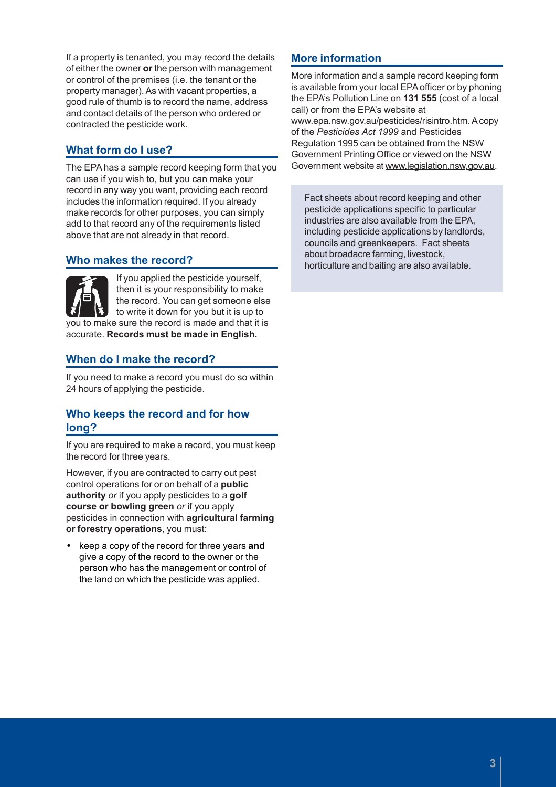If a property is tenanted, you may record the details of either the owner **or** the person with management or control of the premises (i.e. the tenant or the property manager). As with vacant properties, a good rule of thumb is to record the name, address and contact details of the person who ordered or contracted the pesticide work.

# **What form do I use?**

The EPA has a sample record keeping form that you can use if you wish to, but you can make your record in any way you want, providing each record includes the information required. If you already make records for other purposes, you can simply add to that record any of the requirements listed above that are not already in that record.

## **Who makes the record?**

If you applied the pesticide yourself, then it is your responsibility to make the record. You can get someone else to write it down for you but it is up to you to make sure the record is made and that it is accurate. **Records must be made in English.**

## **When do I make the record?**

If you need to make a record you must do so within 24 hours of applying the pesticide.

## **Who keeps the record and for how long?**

If you are required to make a record, you must keep the record for three years.

However, if you are contracted to carry out pest control operations for or on behalf of a **public authority** *or* if you apply pesticides to a **golf course or bowling green** *or* if you apply pesticides in connection with **agricultural farming or forestry operations**, you must:

• keep a copy of the record for three years **and** give a copy of the record to the owner or the person who has the management or control of the land on which the pesticide was applied.

## **More information**

More information and a sample record keeping form is available from your local EPA officer or by phoning the EPA's Pollution Line on **131 555** (cost of a local call) or from the EPA's website at www.epa.nsw.gov.au/pesticides/risintro.htm. A copy of the *Pesticides Act 1999* and Pesticides Regulation 1995 can be obtained from the NSW Government Printing Office or viewed on the NSW Government website at www.legislation.nsw.gov.au.

Fact sheets about record keeping and other pesticide applications specific to particular industries are also available from the EPA, including pesticide applications by landlords, councils and greenkeepers. Fact sheets about broadacre farming, livestock, horticulture and baiting are also available.